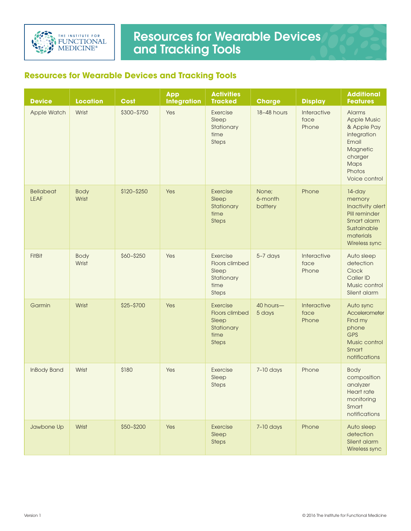

## Resources for Wearable Devices and Tracking Tools

## **Resources for Wearable Devices and Tracking Tools**

| <b>Device</b>                   | <b>Location</b>      | <b>Cost</b> | <b>App</b><br><b>Integration</b> | <b>Activities</b><br><b>Tracked</b>                                              | <b>Charge</b>               | <b>Display</b>               | <b>Additional</b><br><b>Features</b>                                                                                          |
|---------------------------------|----------------------|-------------|----------------------------------|----------------------------------------------------------------------------------|-----------------------------|------------------------------|-------------------------------------------------------------------------------------------------------------------------------|
| Apple Watch                     | Wrist                | \$300-\$750 | Yes                              | Exercise<br>Sleep<br>Stationary<br>time<br><b>Steps</b>                          | 18-48 hours                 | Interactive<br>face<br>Phone | Alarms<br><b>Apple Music</b><br>& Apple Pay<br>integration<br>Email<br>Magnetic<br>charger<br>Maps<br>Photos<br>Voice control |
| <b>Bellabeat</b><br><b>LEAF</b> | <b>Body</b><br>Wrist | \$120-\$250 | Yes                              | Exercise<br>Sleep<br>Stationary<br>time<br>Steps                                 | None;<br>6-month<br>battery | Phone                        | 14-day<br>memory<br>Inactivity alert<br>Pill reminder<br>Smart alarm<br>Sustainable<br>materials<br>Wireless sync             |
| FitBit                          | <b>Body</b><br>Wrist | \$60-\$250  | Yes                              | Exercise<br>Floors climbed<br>Sleep<br>Stationary<br>time<br><b>Steps</b>        | 5-7 days                    | Interactive<br>face<br>Phone | Auto sleep<br>detection<br>Clock<br>Caller ID<br>Music control<br>Silent alarm                                                |
| Garmin                          | Wrist                | \$25-\$700  | Yes                              | Exercise<br><b>Floors climbed</b><br>Sleep<br>Stationary<br>time<br><b>Steps</b> | 40 hours-<br>5 days         | Interactive<br>face<br>Phone | Auto sync<br>Accelerometer<br>Find my<br>phone<br><b>GPS</b><br>Music control<br>Smart<br>notifications                       |
| <b>InBody Band</b>              | Wrist                | \$180       | Yes                              | Exercise<br>Sleep<br>Steps                                                       | $7-10$ days                 | Phone                        | Body<br>composition<br>analyzer<br><b>Heart rate</b><br>monitoring<br>Smart<br>notifications                                  |
| Jawbone Up                      | Wrist                | \$50-\$200  | Yes                              | Exercise<br>Sleep<br><b>Steps</b>                                                | $7-10$ days                 | Phone                        | Auto sleep<br>detection<br>Silent alarm<br>Wireless sync                                                                      |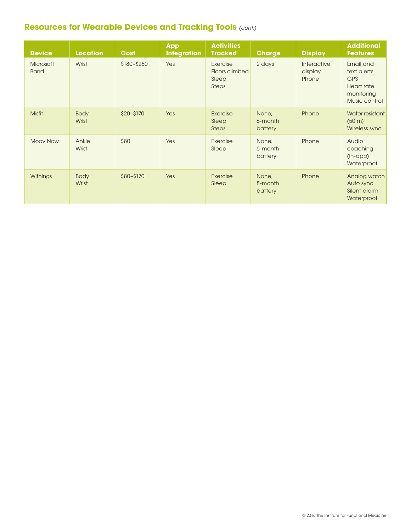## **Resources for Wearable Devices and Tracking Tools** *(cont.)*

| <b>Device</b>                   | <b>Location</b>      | <b>Cost</b>   | <b>App</b><br><b>Integration</b> | <b>Activities</b><br><b>Tracked</b>                 | <b>Charge</b>               | <b>Display</b>                  | <b>Additional</b><br><b>Features</b>                                                |
|---------------------------------|----------------------|---------------|----------------------------------|-----------------------------------------------------|-----------------------------|---------------------------------|-------------------------------------------------------------------------------------|
| <b>Microsoft</b><br><b>Band</b> | Wrist                | $$180 - $250$ | Yes                              | Exercise<br>Floors climbed<br>Sleep<br><b>Steps</b> | 2 days                      | Interactive<br>display<br>Phone | Email and<br>text alerts<br><b>GPS</b><br>Heart rate<br>monitoring<br>Music control |
| <b>Misfit</b>                   | <b>Body</b><br>Wrist | $$20 - $170$  | Yes                              | Exercise<br>Sleep<br><b>Steps</b>                   | None:<br>6-month<br>battery | Phone                           | Water resistant<br>$(50 \text{ m})$<br>Wireless sync                                |
| <b>Moov Now</b>                 | Ankle<br>Wrist       | \$80          | Yes                              | Exercise<br>Sleep                                   | None;<br>6-month<br>battery | Phone                           | Audio<br>coaching<br>$(in-app)$<br>Waterproof                                       |
| Withings                        | <b>Body</b><br>Wrist | \$80-\$170    | Yes                              | Exercise<br>Sleep                                   | None:<br>8-month<br>battery | Phone                           | Analog watch<br>Auto sync<br>Silent alarm<br>Waterproof                             |